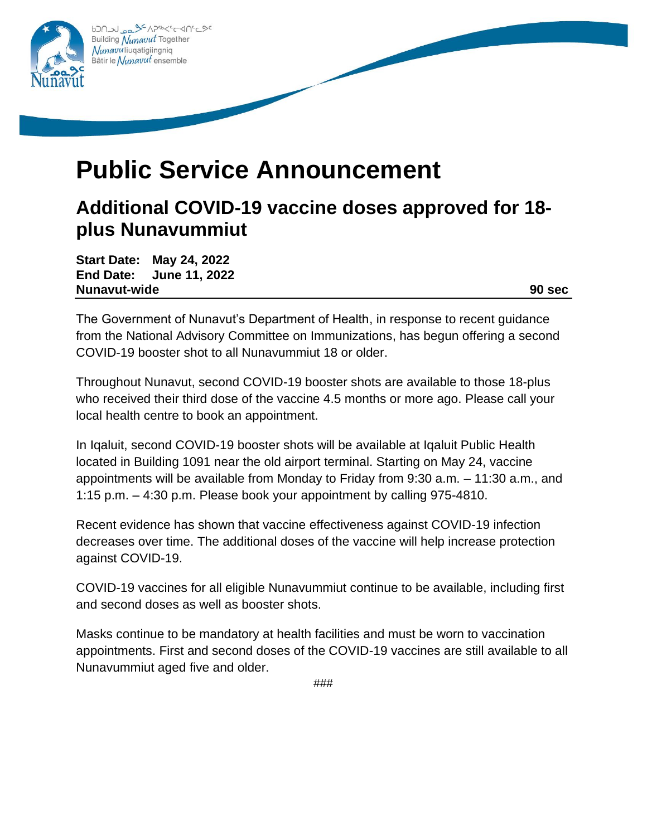

## **Public Service Announcement**

## **Additional COVID-19 vaccine doses approved for 18 plus Nunavummiut**

**Start Date: May 24, 2022 End Date: June 11, 2022 Nunavut-wide 90 sec**

The Government of Nunavut's Department of Health, in response to recent guidance from the National Advisory Committee on Immunizations, has begun offering a second COVID-19 booster shot to all Nunavummiut 18 or older.

Throughout Nunavut, second COVID-19 booster shots are available to those 18-plus who received their third dose of the vaccine 4.5 months or more ago. Please call your local health centre to book an appointment.

In Iqaluit, second COVID-19 booster shots will be available at Iqaluit Public Health located in Building 1091 near the old airport terminal. Starting on May 24, vaccine appointments will be available from Monday to Friday from 9:30 a.m. – 11:30 a.m., and 1:15 p.m. – 4:30 p.m. Please book your appointment by calling 975-4810.

Recent evidence has shown that vaccine effectiveness against COVID-19 infection decreases over time. The additional doses of the vaccine will help increase protection against COVID-19.

COVID-19 vaccines for all eligible Nunavummiut continue to be available, including first and second doses as well as booster shots.

Masks continue to be mandatory at health facilities and must be worn to vaccination appointments. First and second doses of the COVID-19 vaccines are still available to all Nunavummiut aged five and older.